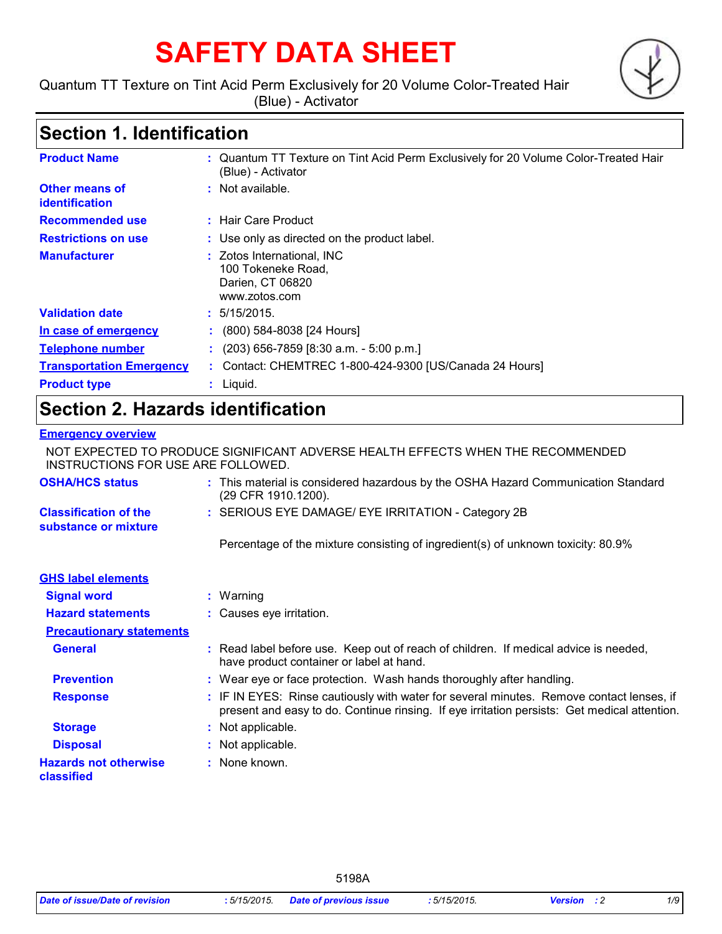# **SAFETY DATA SHEET**

Quantum TT Texture on Tint Acid Perm Exclusively for 20 Volume Color-Treated Hair (Blue) - Activator



## **Section 1. Identification**

| <b>Product Name</b>                            | : Quantum TT Texture on Tint Acid Perm Exclusively for 20 Volume Color-Treated Hair<br>(Blue) - Activator |
|------------------------------------------------|-----------------------------------------------------------------------------------------------------------|
| <b>Other means of</b><br><i>identification</i> | : Not available.                                                                                          |
| <b>Recommended use</b>                         | $\pm$ Hair Care Product                                                                                   |
| <b>Restrictions on use</b>                     | : Use only as directed on the product label.                                                              |
| <b>Manufacturer</b>                            | : Zotos International, INC<br>100 Tokeneke Road,<br>Darien, CT 06820<br>www.zotos.com                     |
| <b>Validation date</b>                         | : 5/15/2015.                                                                                              |
| In case of emergency                           | : $(800)$ 584-8038 [24 Hours]                                                                             |
| <b>Telephone number</b>                        | $(203)$ 656-7859 [8:30 a.m. - 5:00 p.m.]                                                                  |
| <b>Transportation Emergency</b>                | : Contact: CHEMTREC 1-800-424-9300 [US/Canada 24 Hours]                                                   |
| <b>Product type</b>                            | $:$ Liquid.                                                                                               |

### **Section 2. Hazards identification**

#### **Emergency overview**

NOT EXPECTED TO PRODUCE SIGNIFICANT ADVERSE HEALTH EFFECTS WHEN THE RECOMMENDED INSTRUCTIONS FOR USE ARE FOLLOWED.

| <b>OSHA/HCS status</b>                               | : This material is considered hazardous by the OSHA Hazard Communication Standard<br>(29 CFR 1910.1200).                                                                                 |
|------------------------------------------------------|------------------------------------------------------------------------------------------------------------------------------------------------------------------------------------------|
| <b>Classification of the</b><br>substance or mixture | : SERIOUS EYE DAMAGE/ EYE IRRITATION - Category 2B                                                                                                                                       |
|                                                      | Percentage of the mixture consisting of ingredient(s) of unknown toxicity: 80.9%                                                                                                         |
| <b>GHS label elements</b>                            |                                                                                                                                                                                          |
| <b>Signal word</b>                                   | : Warning                                                                                                                                                                                |
| <b>Hazard statements</b>                             | : Causes eye irritation.                                                                                                                                                                 |
| <b>Precautionary statements</b>                      |                                                                                                                                                                                          |
| <b>General</b>                                       | : Read label before use. Keep out of reach of children. If medical advice is needed,<br>have product container or label at hand.                                                         |
| <b>Prevention</b>                                    | : Wear eye or face protection. Wash hands thoroughly after handling.                                                                                                                     |
| <b>Response</b>                                      | : IF IN EYES: Rinse cautiously with water for several minutes. Remove contact lenses, if<br>present and easy to do. Continue rinsing. If eye irritation persists: Get medical attention. |
| <b>Storage</b>                                       | : Not applicable.                                                                                                                                                                        |
| <b>Disposal</b>                                      | : Not applicable.                                                                                                                                                                        |
| <b>Hazards not otherwise</b><br>classified           | : None known.                                                                                                                                                                            |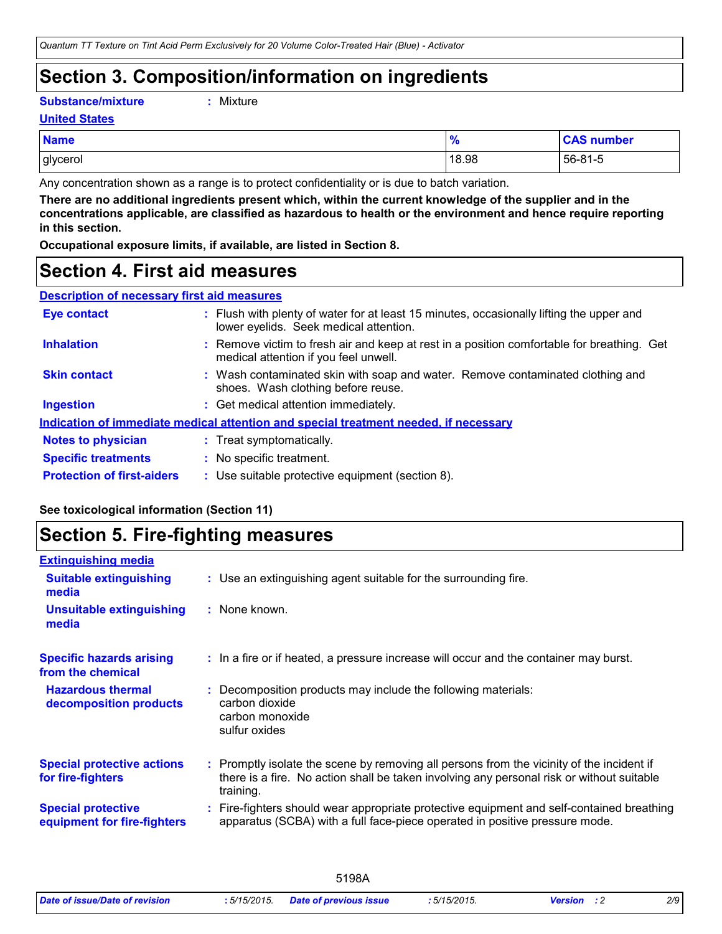### **Section 3. Composition/information on ingredients**

**Substance/mixture :**

```
Mixture
```
**United States**

| <b>Name</b> | 70    | <b>CAS number</b> |
|-------------|-------|-------------------|
| glycerol    | 18.98 | $56 - 81 - 5$     |

Any concentration shown as a range is to protect confidentiality or is due to batch variation.

**There are no additional ingredients present which, within the current knowledge of the supplier and in the concentrations applicable, are classified as hazardous to health or the environment and hence require reporting in this section.**

**Occupational exposure limits, if available, are listed in Section 8.**

### **Section 4. First aid measures**

| <b>Description of necessary first aid measures</b> |                                    |
|----------------------------------------------------|------------------------------------|
| Eye contact                                        | : Flush with plenty of water for a |

| <b>Eye contact</b>                | : Flush with plenty of water for at least 15 minutes, occasionally lifting the upper and<br>lower eyelids. Seek medical attention.  |
|-----------------------------------|-------------------------------------------------------------------------------------------------------------------------------------|
| <b>Inhalation</b>                 | : Remove victim to fresh air and keep at rest in a position comfortable for breathing. Get<br>medical attention if you feel unwell. |
| <b>Skin contact</b>               | : Wash contaminated skin with soap and water. Remove contaminated clothing and<br>shoes. Wash clothing before reuse.                |
| <b>Ingestion</b>                  | : Get medical attention immediately.                                                                                                |
|                                   | Indication of immediate medical attention and special treatment needed, if necessary                                                |
| <b>Notes to physician</b>         | : Treat symptomatically.                                                                                                            |
| <b>Specific treatments</b>        | : No specific treatment.                                                                                                            |
| <b>Protection of first-aiders</b> | : Use suitable protective equipment (section 8).                                                                                    |

#### **See toxicological information (Section 11)**

### **Section 5. Fire-fighting measures**

| <b>Extinguishing media</b>                               |                                                                                                                                                                                                     |
|----------------------------------------------------------|-----------------------------------------------------------------------------------------------------------------------------------------------------------------------------------------------------|
| <b>Suitable extinguishing</b><br>media                   | : Use an extinguishing agent suitable for the surrounding fire.                                                                                                                                     |
| <b>Unsuitable extinguishing</b><br>media                 | : None known.                                                                                                                                                                                       |
| <b>Specific hazards arising</b><br>from the chemical     | : In a fire or if heated, a pressure increase will occur and the container may burst.                                                                                                               |
| <b>Hazardous thermal</b><br>decomposition products       | Decomposition products may include the following materials:<br>carbon dioxide<br>carbon monoxide<br>sulfur oxides                                                                                   |
| <b>Special protective actions</b><br>for fire-fighters   | : Promptly isolate the scene by removing all persons from the vicinity of the incident if<br>there is a fire. No action shall be taken involving any personal risk or without suitable<br>training. |
| <b>Special protective</b><br>equipment for fire-fighters | Fire-fighters should wear appropriate protective equipment and self-contained breathing<br>apparatus (SCBA) with a full face-piece operated in positive pressure mode.                              |
|                                                          |                                                                                                                                                                                                     |

| 2/9<br>: 5/15/2015.<br>Date of issue/Date of revision<br>5/15/2015.<br>Date of previous issue<br>Version |
|----------------------------------------------------------------------------------------------------------|
|----------------------------------------------------------------------------------------------------------|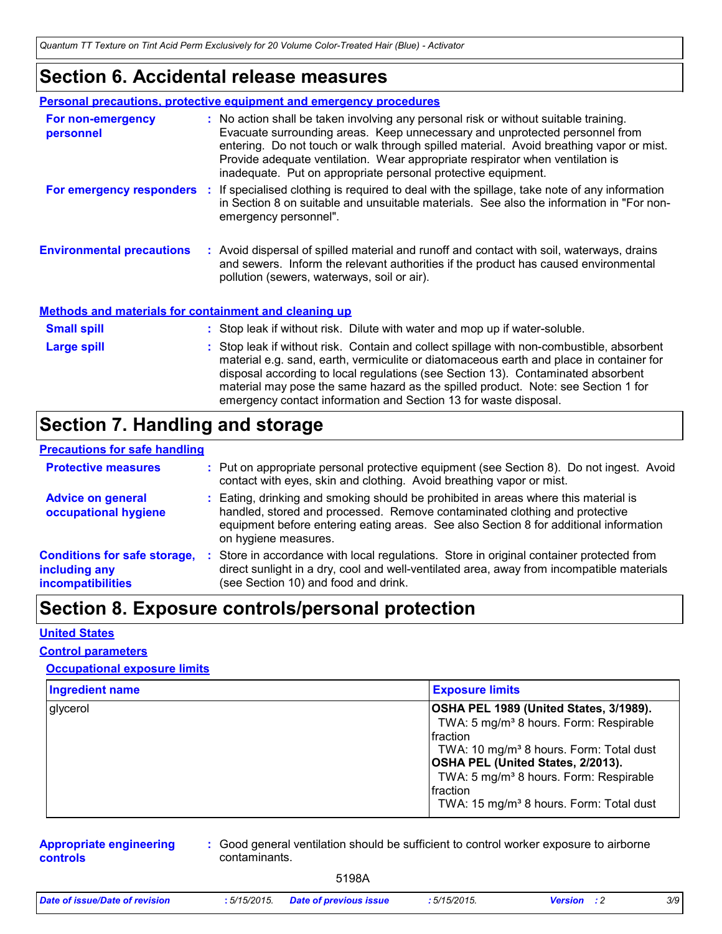*Quantum TT Texture on Tint Acid Perm Exclusively for 20 Volume Color-Treated Hair (Blue) - Activator*

### **Section 6. Accidental release measures**

|                                  | Personal precautions, protective equipment and emergency procedures |                                                                                                                                                                                                                                                                                                                                                                                                                  |  |  |  |
|----------------------------------|---------------------------------------------------------------------|------------------------------------------------------------------------------------------------------------------------------------------------------------------------------------------------------------------------------------------------------------------------------------------------------------------------------------------------------------------------------------------------------------------|--|--|--|
| For non-emergency<br>personnel   |                                                                     | : No action shall be taken involving any personal risk or without suitable training.<br>Evacuate surrounding areas. Keep unnecessary and unprotected personnel from<br>entering. Do not touch or walk through spilled material. Avoid breathing vapor or mist.<br>Provide adequate ventilation. Wear appropriate respirator when ventilation is<br>inadequate. Put on appropriate personal protective equipment. |  |  |  |
| For emergency responders :       |                                                                     | If specialised clothing is required to deal with the spillage, take note of any information<br>in Section 8 on suitable and unsuitable materials. See also the information in "For non-<br>emergency personnel".                                                                                                                                                                                                 |  |  |  |
| <b>Environmental precautions</b> |                                                                     | : Avoid dispersal of spilled material and runoff and contact with soil, waterways, drains<br>and sewers. Inform the relevant authorities if the product has caused environmental<br>pollution (sewers, waterways, soil or air).                                                                                                                                                                                  |  |  |  |

#### **Methods and materials for containment and cleaning up**

| <b>Small spill</b> | : Stop leak if without risk. Dilute with water and mop up if water-soluble.                                                                                                                                                                                                                                                                                                                                                       |
|--------------------|-----------------------------------------------------------------------------------------------------------------------------------------------------------------------------------------------------------------------------------------------------------------------------------------------------------------------------------------------------------------------------------------------------------------------------------|
| <b>Large spill</b> | : Stop leak if without risk. Contain and collect spillage with non-combustible, absorbent<br>material e.g. sand, earth, vermiculite or diatomaceous earth and place in container for<br>disposal according to local regulations (see Section 13). Contaminated absorbent<br>material may pose the same hazard as the spilled product. Note: see Section 1 for<br>emergency contact information and Section 13 for waste disposal. |

### **Section 7. Handling and storage**

#### **Precautions for safe handling**

| <b>Protective measures</b>                                                       |     | : Put on appropriate personal protective equipment (see Section 8). Do not ingest. Avoid<br>contact with eyes, skin and clothing. Avoid breathing vapor or mist.                                                                                                                   |
|----------------------------------------------------------------------------------|-----|------------------------------------------------------------------------------------------------------------------------------------------------------------------------------------------------------------------------------------------------------------------------------------|
| <b>Advice on general</b><br>occupational hygiene                                 |     | : Eating, drinking and smoking should be prohibited in areas where this material is<br>handled, stored and processed. Remove contaminated clothing and protective<br>equipment before entering eating areas. See also Section 8 for additional information<br>on hygiene measures. |
| <b>Conditions for safe storage,</b><br>including any<br><b>incompatibilities</b> | -11 | Store in accordance with local regulations. Store in original container protected from<br>direct sunlight in a dry, cool and well-ventilated area, away from incompatible materials<br>(see Section 10) and food and drink.                                                        |

### **Section 8. Exposure controls/personal protection**

#### **United States**

#### **Control parameters**

#### **Occupational exposure limits**

| <b>Ingredient name</b> | <b>Exposure limits</b>                                                                                                                                                                                                                                                                                                               |
|------------------------|--------------------------------------------------------------------------------------------------------------------------------------------------------------------------------------------------------------------------------------------------------------------------------------------------------------------------------------|
| glycerol               | OSHA PEL 1989 (United States, 3/1989).<br>TWA: 5 mg/m <sup>3</sup> 8 hours. Form: Respirable<br>fraction<br>TWA: 10 mg/m <sup>3</sup> 8 hours. Form: Total dust<br><b>OSHA PEL (United States, 2/2013).</b><br>TWA: 5 mg/m <sup>3</sup> 8 hours. Form: Respirable<br>fraction<br>TWA: 15 mg/m <sup>3</sup> 8 hours. Form: Total dust |

#### **Appropriate engineering controls**

**:** Good general ventilation should be sufficient to control worker exposure to airborne contaminants.

| Date of issue/Date of revision | : 5/15/2015.<br>. | Date of previous issue<br>. | 5/15/2015 | Version | 3/9 |
|--------------------------------|-------------------|-----------------------------|-----------|---------|-----|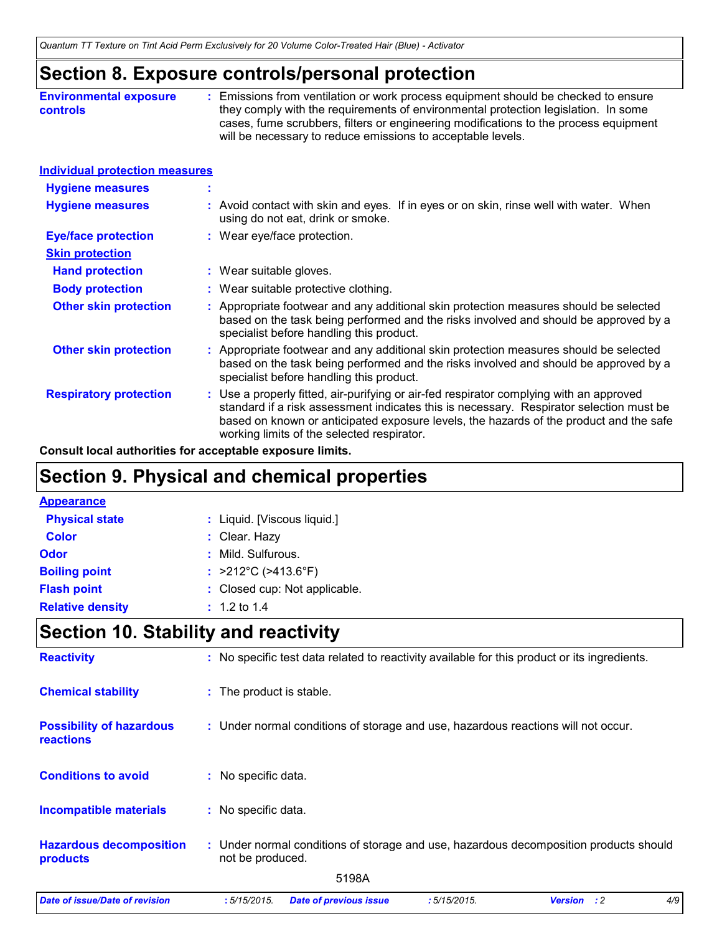### **Section 8. Exposure controls/personal protection**

| <b>Environmental exposure</b> | Emissions from ventilation or work process equipment should be checked to ensure     |
|-------------------------------|--------------------------------------------------------------------------------------|
| <b>controls</b>               | they comply with the requirements of environmental protection legislation. In some   |
|                               | cases, fume scrubbers, filters or engineering modifications to the process equipment |
|                               | will be necessary to reduce emissions to acceptable levels.                          |

| Individual protection measures |
|--------------------------------|
|--------------------------------|

| <b>Hygiene measures</b>       | $\mathbf{r}$                                                                                                                                                                                                                                                                                                               |
|-------------------------------|----------------------------------------------------------------------------------------------------------------------------------------------------------------------------------------------------------------------------------------------------------------------------------------------------------------------------|
| <b>Hygiene measures</b>       | : Avoid contact with skin and eyes. If in eyes or on skin, rinse well with water. When<br>using do not eat, drink or smoke.                                                                                                                                                                                                |
| <b>Eye/face protection</b>    | : Wear eye/face protection.                                                                                                                                                                                                                                                                                                |
| <b>Skin protection</b>        |                                                                                                                                                                                                                                                                                                                            |
| <b>Hand protection</b>        | : Wear suitable gloves.                                                                                                                                                                                                                                                                                                    |
| <b>Body protection</b>        | : Wear suitable protective clothing.                                                                                                                                                                                                                                                                                       |
| <b>Other skin protection</b>  | : Appropriate footwear and any additional skin protection measures should be selected<br>based on the task being performed and the risks involved and should be approved by a<br>specialist before handling this product.                                                                                                  |
| <b>Other skin protection</b>  | : Appropriate footwear and any additional skin protection measures should be selected<br>based on the task being performed and the risks involved and should be approved by a<br>specialist before handling this product.                                                                                                  |
| <b>Respiratory protection</b> | : Use a properly fitted, air-purifying or air-fed respirator complying with an approved<br>standard if a risk assessment indicates this is necessary. Respirator selection must be<br>based on known or anticipated exposure levels, the hazards of the product and the safe<br>working limits of the selected respirator. |

**Consult local authorities for acceptable exposure limits.**

### **Section 9. Physical and chemical properties**

| : Liquid. [Viscous liquid.]              |
|------------------------------------------|
| : Clear. Hazy                            |
| : Mild. Sulfurous.                       |
| : $>212^{\circ}$ C ( $>413.6^{\circ}$ F) |
| : Closed cup: Not applicable.            |
| $: 1.2 \text{ to } 1.4$                  |
|                                          |

### **Section 10. Stability and reactivity**

| <b>Reactivity</b>                            | : No specific test data related to reactivity available for this product or its ingredients.              |  |  |  |  |  |  |
|----------------------------------------------|-----------------------------------------------------------------------------------------------------------|--|--|--|--|--|--|
| <b>Chemical stability</b>                    | : The product is stable.                                                                                  |  |  |  |  |  |  |
| <b>Possibility of hazardous</b><br>reactions | : Under normal conditions of storage and use, hazardous reactions will not occur.                         |  |  |  |  |  |  |
| <b>Conditions to avoid</b>                   | : No specific data.                                                                                       |  |  |  |  |  |  |
| <b>Incompatible materials</b>                | : No specific data.                                                                                       |  |  |  |  |  |  |
| <b>Hazardous decomposition</b><br>products   | : Under normal conditions of storage and use, hazardous decomposition products should<br>not be produced. |  |  |  |  |  |  |
|                                              | 5198A                                                                                                     |  |  |  |  |  |  |
| <b>Date of issue/Date of revision</b>        | 4/9<br>:5/15/2015.<br>:5/15/2015.<br><b>Date of previous issue</b><br><b>Version</b> : 2                  |  |  |  |  |  |  |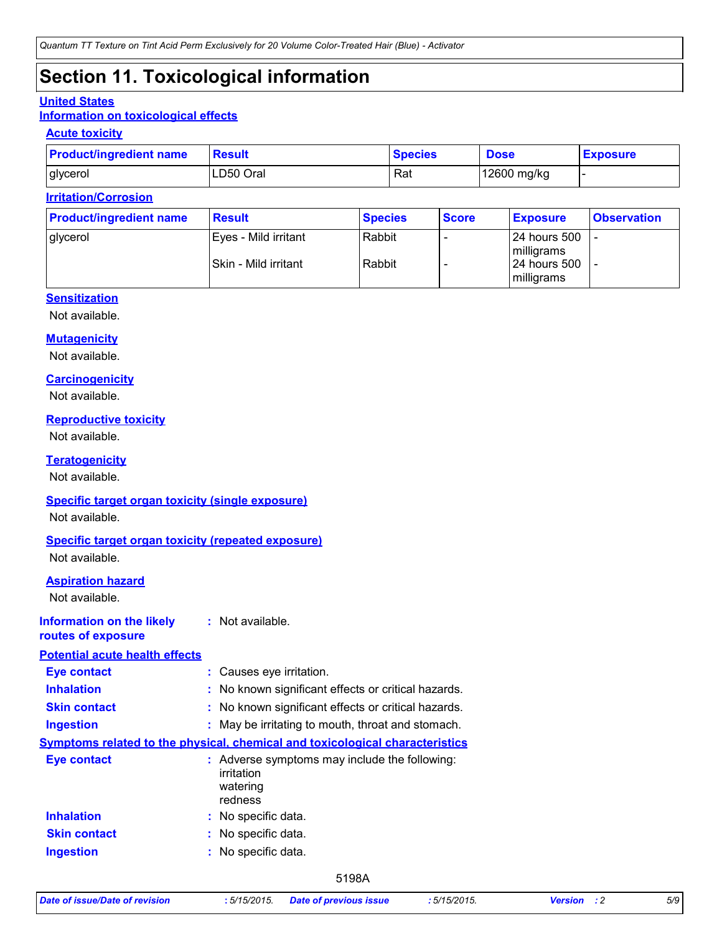### **Section 11. Toxicological information**

#### **United States**

#### **Information on toxicological effects**

#### **Acute toxicity**

| <b>Product/ingredient name</b> | <b>Result</b> | <b>Species</b> | <b>Dose</b> | <b>Exposure</b> |
|--------------------------------|---------------|----------------|-------------|-----------------|
| glycerol                       | LD50 Oral     | Rat            | 12600 mg/kg |                 |

#### **Irritation/Corrosion**

| <b>Product/ingredient name</b> | <b>Result</b>        | <b>Species</b> | <b>Score</b> | <b>Exposure</b>              | <b>Observation</b> |
|--------------------------------|----------------------|----------------|--------------|------------------------------|--------------------|
| glycerol                       | Eyes - Mild irritant | Rabbit         |              | 24 hours 500<br>milligrams   |                    |
|                                | Skin - Mild irritant | Rabbit         |              | l 24 hours 500<br>milligrams |                    |

#### **Sensitization**

Not available.

#### **Mutagenicity**

Not available.

#### **Carcinogenicity**

Not available.

#### **Reproductive toxicity**

Not available.

#### **Teratogenicity**

Not available.

#### **Specific target organ toxicity (single exposure)**

Not available.

#### **Specific target organ toxicity (repeated exposure)**

Not available.

#### **Aspiration hazard**

Not available.

#### **Information on the likely routes of exposure :** Not available.

#### **Potential acute health effects**

| <b>Eye contact</b>  | : Causes eye irritation.                                                           |  |  |  |
|---------------------|------------------------------------------------------------------------------------|--|--|--|
| <b>Inhalation</b>   | : No known significant effects or critical hazards.                                |  |  |  |
| <b>Skin contact</b> | : No known significant effects or critical hazards.                                |  |  |  |
| <b>Ingestion</b>    | : May be irritating to mouth, throat and stomach.                                  |  |  |  |
|                     | Symptoms related to the physical, chemical and toxicological characteristics       |  |  |  |
| Eye contact         | : Adverse symptoms may include the following:<br>irritation<br>watering<br>redness |  |  |  |
| <b>Inhalation</b>   | : No specific data.                                                                |  |  |  |
| <b>Skin contact</b> | : No specific data.                                                                |  |  |  |
| <b>Ingestion</b>    | : No specific data.                                                                |  |  |  |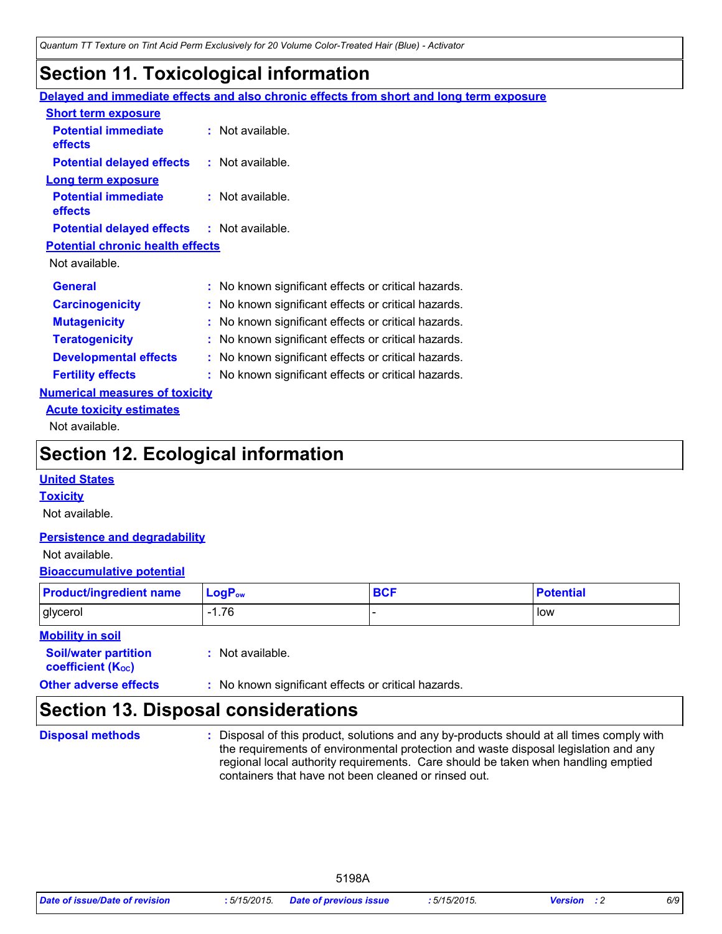### **Section 11. Toxicological information**

|                                                   | Delayed and immediate effects and also chronic effects from short and long term exposure |
|---------------------------------------------------|------------------------------------------------------------------------------------------|
| <b>Short term exposure</b>                        |                                                                                          |
| <b>Potential immediate</b><br><b>effects</b>      | : Not available.                                                                         |
| <b>Potential delayed effects</b>                  | : Not available.                                                                         |
| Long term exposure                                |                                                                                          |
| <b>Potential immediate</b>                        | $:$ Not available.                                                                       |
| <b>effects</b>                                    |                                                                                          |
| <b>Potential delayed effects : Not available.</b> |                                                                                          |
| <b>Potential chronic health effects</b>           |                                                                                          |
| Not available.                                    |                                                                                          |
| <b>General</b>                                    | : No known significant effects or critical hazards.                                      |
| <b>Carcinogenicity</b>                            | : No known significant effects or critical hazards.                                      |
| <b>Mutagenicity</b>                               | : No known significant effects or critical hazards.                                      |
| <b>Teratogenicity</b>                             | : No known significant effects or critical hazards.                                      |
| <b>Developmental effects</b>                      | : No known significant effects or critical hazards.                                      |
| <b>Fertility effects</b>                          | : No known significant effects or critical hazards.                                      |
| <b>Numerical measures of toxicity</b>             |                                                                                          |
| <b>Acute toxicity estimates</b>                   |                                                                                          |
| Not available.                                    |                                                                                          |

### **Section 12. Ecological information**

#### **United States**

#### **Toxicity**

Not available.

#### **Persistence and degradability**

#### Not available.

#### **Bioaccumulative potential**

| <b>Product/ingredient name</b> | $\blacksquare$ Log $\mathsf{P}_{\mathsf{ow}}$ | <b>BCF</b> | Potential |
|--------------------------------|-----------------------------------------------|------------|-----------|
| glycerol                       | $-1.76$                                       |            | low       |

#### **Mobility in soil**

| <b>Soil/water partition</b>           | : Not available. |
|---------------------------------------|------------------|
| <b>coefficient</b> (K <sub>oc</sub> ) |                  |

**Other adverse effects** : No known significant effects or critical hazards.

### **Section 13. Disposal considerations**

#### **Disposal methods :**

Disposal of this product, solutions and any by-products should at all times comply with the requirements of environmental protection and waste disposal legislation and any regional local authority requirements. Care should be taken when handling emptied containers that have not been cleaned or rinsed out.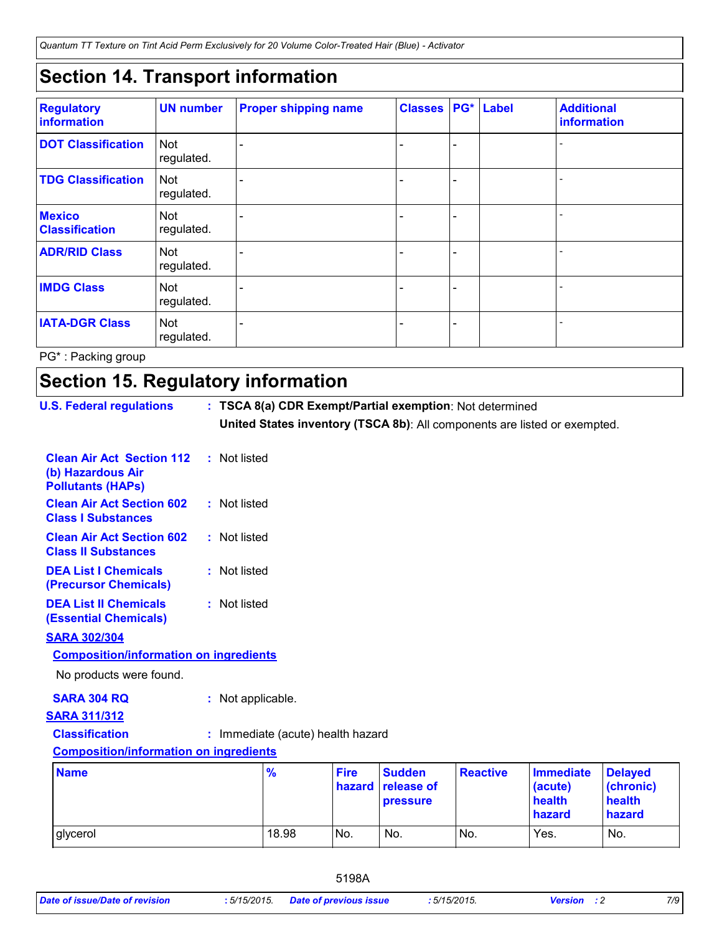*Quantum TT Texture on Tint Acid Perm Exclusively for 20 Volume Color-Treated Hair (Blue) - Activator*

### **Section 14. Transport information**

| <b>Regulatory</b><br>information       | <b>UN number</b>         | <b>Proper shipping name</b> | <b>Classes</b> |                          | PG* Label | <b>Additional</b><br>information |
|----------------------------------------|--------------------------|-----------------------------|----------------|--------------------------|-----------|----------------------------------|
| <b>DOT Classification</b>              | Not<br>regulated.        |                             |                | $\overline{\phantom{0}}$ |           |                                  |
| <b>TDG Classification</b>              | <b>Not</b><br>regulated. |                             |                | $\overline{\phantom{0}}$ |           |                                  |
| <b>Mexico</b><br><b>Classification</b> | <b>Not</b><br>regulated. |                             |                | $\overline{\phantom{0}}$ |           |                                  |
| <b>ADR/RID Class</b>                   | <b>Not</b><br>regulated. |                             |                | $\overline{\phantom{0}}$ |           |                                  |
| <b>IMDG Class</b>                      | <b>Not</b><br>regulated. |                             |                | $\blacksquare$           |           |                                  |
| <b>IATA-DGR Class</b>                  | <b>Not</b><br>regulated. |                             |                | $\overline{\phantom{0}}$ |           |                                  |

PG\* : Packing group

### **Section 15. Regulatory information**

| <b>U.S. Federal regulations</b>                                                   |  | : TSCA 8(a) CDR Exempt/Partial exemption: Not determined                  |                       |                                         |                 |                                                 |                                                 |
|-----------------------------------------------------------------------------------|--|---------------------------------------------------------------------------|-----------------------|-----------------------------------------|-----------------|-------------------------------------------------|-------------------------------------------------|
|                                                                                   |  | United States inventory (TSCA 8b): All components are listed or exempted. |                       |                                         |                 |                                                 |                                                 |
| <b>Clean Air Act Section 112</b><br>(b) Hazardous Air<br><b>Pollutants (HAPs)</b> |  | : Not listed                                                              |                       |                                         |                 |                                                 |                                                 |
| <b>Clean Air Act Section 602</b><br><b>Class I Substances</b>                     |  | : Not listed                                                              |                       |                                         |                 |                                                 |                                                 |
| <b>Clean Air Act Section 602</b><br><b>Class II Substances</b>                    |  | : Not listed                                                              |                       |                                         |                 |                                                 |                                                 |
| <b>DEA List I Chemicals</b><br>(Precursor Chemicals)                              |  | : Not listed                                                              |                       |                                         |                 |                                                 |                                                 |
| <b>DEA List II Chemicals</b><br><b>(Essential Chemicals)</b>                      |  | : Not listed                                                              |                       |                                         |                 |                                                 |                                                 |
| <b>SARA 302/304</b>                                                               |  |                                                                           |                       |                                         |                 |                                                 |                                                 |
| <b>Composition/information on ingredients</b>                                     |  |                                                                           |                       |                                         |                 |                                                 |                                                 |
| No products were found.                                                           |  |                                                                           |                       |                                         |                 |                                                 |                                                 |
| <b>SARA 304 RQ</b>                                                                |  | : Not applicable.                                                         |                       |                                         |                 |                                                 |                                                 |
| <b>SARA 311/312</b>                                                               |  |                                                                           |                       |                                         |                 |                                                 |                                                 |
| <b>Classification</b>                                                             |  | : Immediate (acute) health hazard                                         |                       |                                         |                 |                                                 |                                                 |
| <b>Composition/information on ingredients</b>                                     |  |                                                                           |                       |                                         |                 |                                                 |                                                 |
| <b>Name</b>                                                                       |  | $\frac{9}{6}$                                                             | <b>Fire</b><br>hazard | <b>Sudden</b><br>release of<br>pressure | <b>Reactive</b> | <b>Immediate</b><br>(acute)<br>health<br>hazard | <b>Delayed</b><br>(chronic)<br>health<br>hazard |
| glycerol                                                                          |  | 18.98                                                                     | No.                   | No.                                     | No.             | Yes.                                            | No.                                             |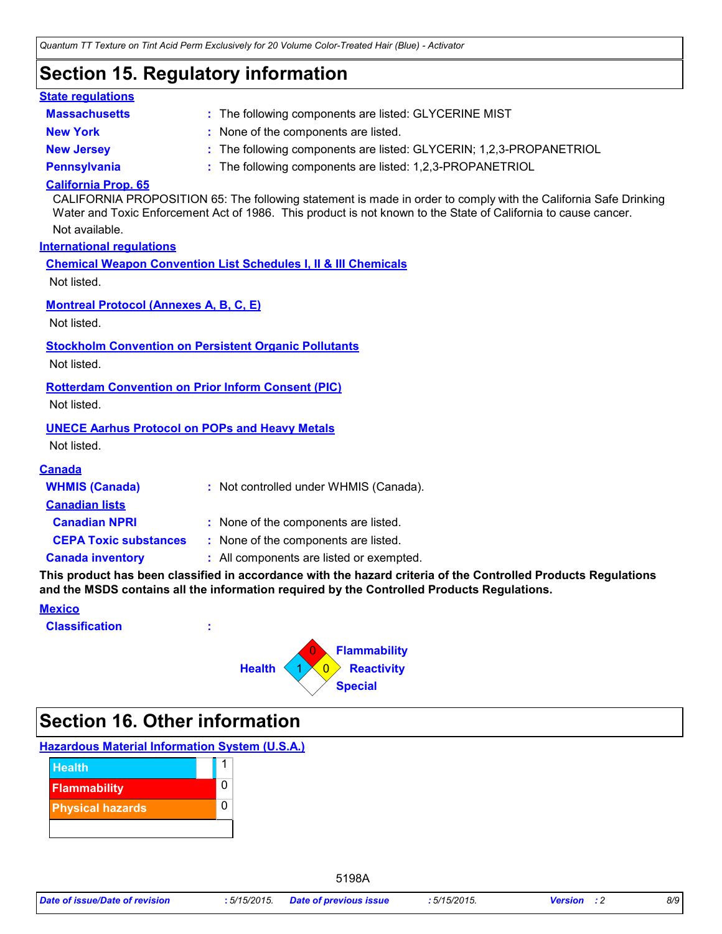### **Section 15. Regulatory information**

| <b>State regulations</b>                                                 |                                                                                                                                                                                                                                   |
|--------------------------------------------------------------------------|-----------------------------------------------------------------------------------------------------------------------------------------------------------------------------------------------------------------------------------|
| <b>Massachusetts</b>                                                     | : The following components are listed: GLYCERINE MIST                                                                                                                                                                             |
| <b>New York</b>                                                          | : None of the components are listed.                                                                                                                                                                                              |
| <b>New Jersey</b>                                                        | : The following components are listed: GLYCERIN; 1,2,3-PROPANETRIOL                                                                                                                                                               |
| <b>Pennsylvania</b>                                                      | : The following components are listed: 1,2,3-PROPANETRIOL                                                                                                                                                                         |
| <b>California Prop. 65</b>                                               | CALIFORNIA PROPOSITION 65: The following statement is made in order to comply with the California Safe Drinking<br>Water and Toxic Enforcement Act of 1986. This product is not known to the State of California to cause cancer. |
| Not available.                                                           |                                                                                                                                                                                                                                   |
| <b>International requlations</b>                                         |                                                                                                                                                                                                                                   |
| Not listed.                                                              | <b>Chemical Weapon Convention List Schedules I, II &amp; III Chemicals</b>                                                                                                                                                        |
| <b>Montreal Protocol (Annexes A, B, C, E)</b><br>Not listed.             |                                                                                                                                                                                                                                   |
| Not listed.                                                              | <b>Stockholm Convention on Persistent Organic Pollutants</b>                                                                                                                                                                      |
| <b>Rotterdam Convention on Prior Inform Consent (PIC)</b><br>Not listed. |                                                                                                                                                                                                                                   |
| <b>UNECE Aarhus Protocol on POPs and Heavy Metals</b><br>Not listed.     |                                                                                                                                                                                                                                   |
| <b>Canada</b>                                                            |                                                                                                                                                                                                                                   |
| <b>WHMIS (Canada)</b><br><b>Canadian lists</b>                           | : Not controlled under WHMIS (Canada).                                                                                                                                                                                            |
| <b>Canadian NPRI</b>                                                     | : None of the components are listed.                                                                                                                                                                                              |
| <b>CEPA Toxic substances</b>                                             | : None of the components are listed.                                                                                                                                                                                              |
| <b>Canada inventory</b>                                                  | : All components are listed or exempted.                                                                                                                                                                                          |
|                                                                          | This product has been classified in accordance with the hazard criteria of the Controlled Products Regulations<br>and the MSDS contains all the information required by the Controlled Products Regulations.                      |
| <b>Mexico</b>                                                            |                                                                                                                                                                                                                                   |
| <b>Classification</b>                                                    |                                                                                                                                                                                                                                   |
|                                                                          | <b>Flammability</b>                                                                                                                                                                                                               |
|                                                                          | $\Omega$<br><b>Reactivity</b><br><b>Health</b>                                                                                                                                                                                    |
|                                                                          | <b>Special</b>                                                                                                                                                                                                                    |
|                                                                          |                                                                                                                                                                                                                                   |

### **Section 16. Other information**

### **Hazardous Material Information System (U.S.A.)**